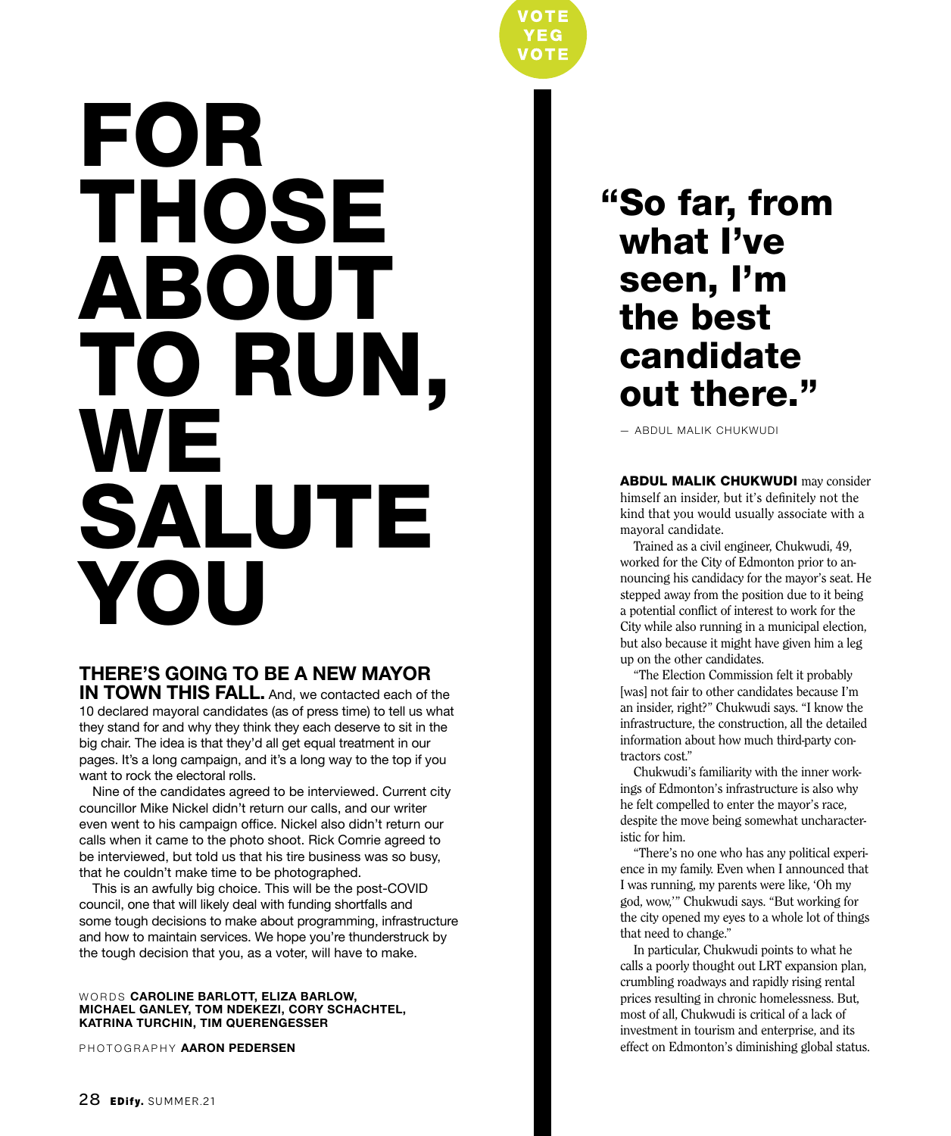# FOR THOSE ABOUT TO RUN, **WE** SALUTE YOU

#### **THERE'S GOING TO BE A NEW MAYOR**

**IN TOWN THIS FALL.** And, we contacted each of the 10 declared mayoral candidates (as of press time) to tell us what they stand for and why they think they each deserve to sit in the big chair. The idea is that they'd all get equal treatment in our pages. It's a long campaign, and it's a long way to the top if you want to rock the electoral rolls.

Nine of the candidates agreed to be interviewed. Current city councillor Mike Nickel didn't return our calls, and our writer even went to his campaign office. Nickel also didn't return our calls when it came to the photo shoot. Rick Comrie agreed to be interviewed, but told us that his tire business was so busy, that he couldn't make time to be photographed.

This is an awfully big choice. This will be the post-COVID council, one that will likely deal with funding shortfalls and some tough decisions to make about programming, infrastructure and how to maintain services. We hope you're thunderstruck by the tough decision that you, as a voter, will have to make.

#### WORDS **CAROLINE BARLOTT, ELIZA BARLOW, MICHAEL GANLEY, TOM NDEKEZI, CORY SCHACHTEL, KATRINA TURCHIN, TIM QUERENGESSER**

PHOTOGRAPHY **AARON PEDERSEN**

"So far, from what I've seen, I'm the best candidate out there."

VOTE

 $\sqrt{10}$ 

— ABDUL MALIK CHUKWUDI

ABDUL MALIK CHUKWUDI may consider himself an insider, but it's definitely not the kind that you would usually associate with a mayoral candidate.

Trained as a civil engineer, Chukwudi, 49, worked for the City of Edmonton prior to announcing his candidacy for the mayor's seat. He stepped away from the position due to it being a potential conflict of interest to work for the City while also running in a municipal election, but also because it might have given him a leg up on the other candidates.

"The Election Commission felt it probably [was] not fair to other candidates because I'm an insider, right?" Chukwudi says. "I know the infrastructure, the construction, all the detailed information about how much third-party contractors cost."

Chukwudi's familiarity with the inner workings of Edmonton's infrastructure is also why he felt compelled to enter the mayor's race, despite the move being somewhat uncharacteristic for him.

"There's no one who has any political experience in my family. Even when I announced that I was running, my parents were like, 'Oh my god, wow,'" Chukwudi says. "But working for the city opened my eyes to a whole lot of things that need to change."

In particular, Chukwudi points to what he calls a poorly thought out LRT expansion plan, crumbling roadways and rapidly rising rental prices resulting in chronic homelessness. But, most of all, Chukwudi is critical of a lack of investment in tourism and enterprise, and its effect on Edmonton's diminishing global status.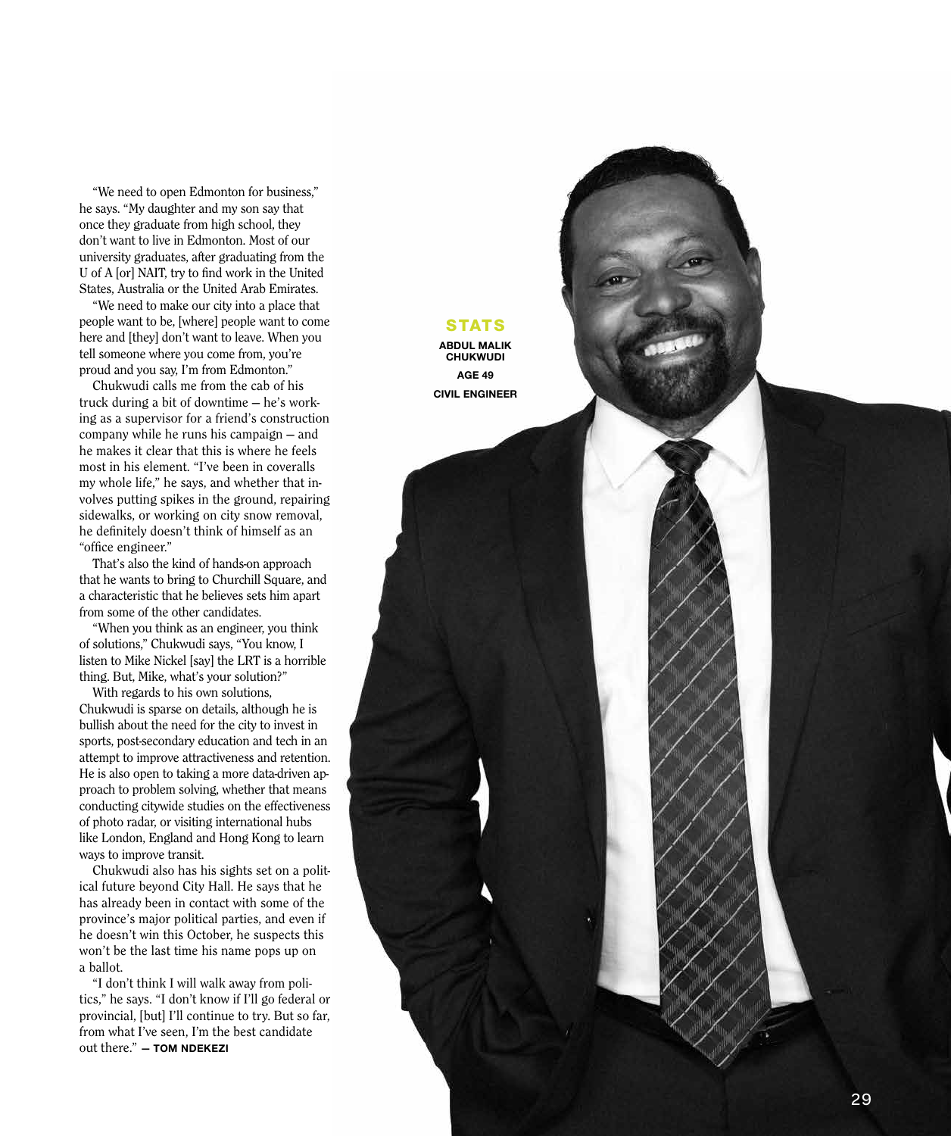"We need to open Edmonton for business," he says. "My daughter and my son say that once they graduate from high school, they don't want to live in Edmonton. Most of our university graduates, after graduating from the U of A [or] NAIT, try to find work in the United States, Australia or the United Arab Emirates.

"We need to make our city into a place that people want to be, [where] people want to come here and [they] don't want to leave. When you tell someone where you come from, you're proud and you say, I'm from Edmonton."

Chukwudi calls me from the cab of his truck during a bit of downtime — he's working as a supervisor for a friend's construction company while he runs his campaign — and he makes it clear that this is where he feels most in his element. "I've been in coveralls my whole life," he says, and whether that involves putting spikes in the ground, repairing sidewalks, or working on city snow removal, he definitely doesn't think of himself as an "office engineer."

That's also the kind of hands-on approach that he wants to bring to Churchill Square, and a characteristic that he believes sets him apart from some of the other candidates.

"When you think as an engineer, you think of solutions," Chukwudi says, "You know, I listen to Mike Nickel [say] the LRT is a horrible thing. But, Mike, what's your solution?"

With regards to his own solutions, Chukwudi is sparse on details, although he is bullish about the need for the city to invest in sports, post-secondary education and tech in an attempt to improve attractiveness and retention. He is also open to taking a more data-driven ap proach to problem solving, whether that means conducting citywide studies on the effectiveness of photo radar, or visiting international hubs like London, England and Hong Kong to learn ways to improve transit.

Chukwudi also has his sights set on a political future beyond City Hall. He says that he has already been in contact with some of the province's major political parties, and even if he doesn't win this October, he suspects this won't be the last time his name pops up on a ballot.

"I don't think I will walk away from poli tics," he says. "I don't know if I'll go federal or provincial, [but] I'll continue to try. But so far, from what I've seen, I'm the best candidate out there." **— TOM NDEKEZI**

#### **STATS**

**ABDUL MALIK CHUKWUDI AGE 49 CIVIL ENGINEER**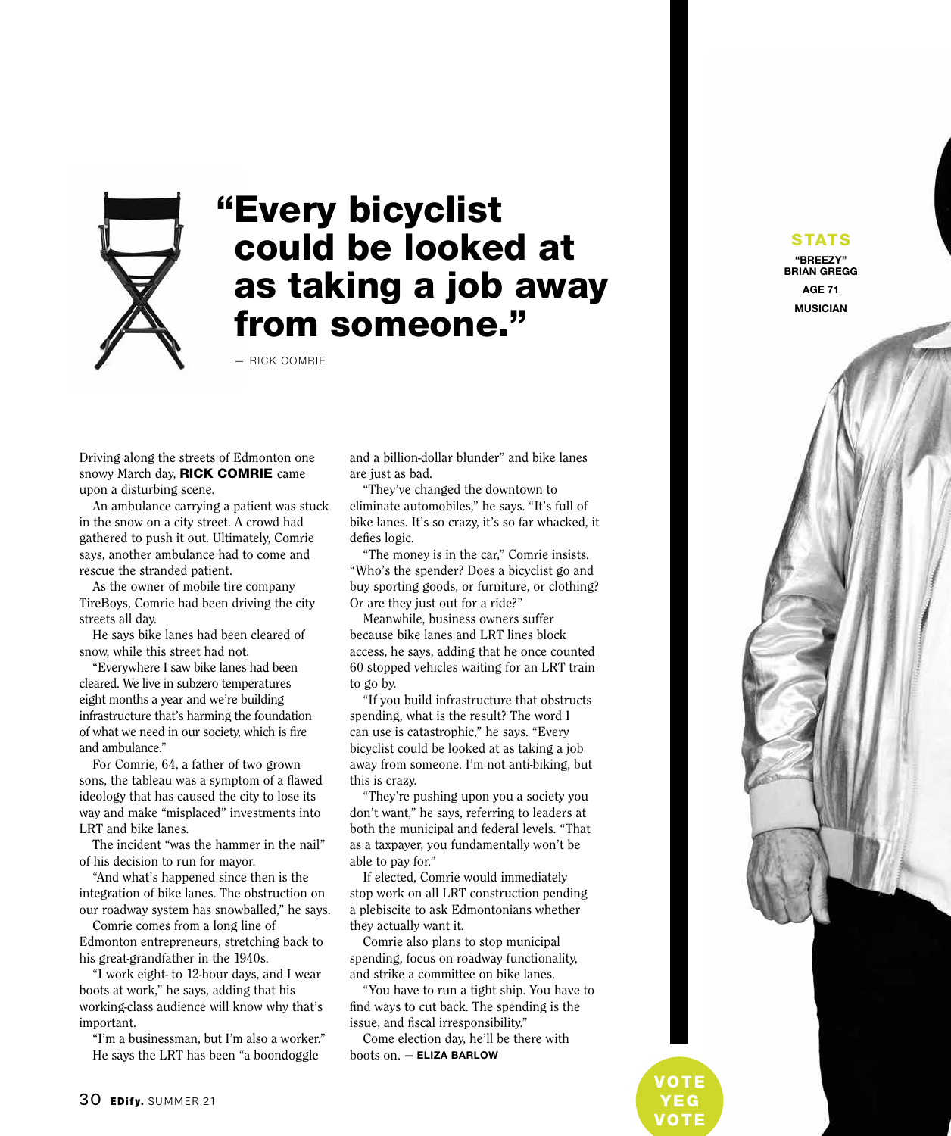

## "Every bicyclist could be looked at as taking a job away from someone."

— RICK COMRIE

Driving along the streets of Edmonton one snowy March day, **RICK COMRIE** came upon a disturbing scene.

An ambulance carrying a patient was stuck in the snow on a city street. A crowd had gathered to push it out. Ultimately, Comrie says, another ambulance had to come and rescue the stranded patient.

As the owner of mobile tire company TireBoys, Comrie had been driving the city streets all day.

He says bike lanes had been cleared of snow, while this street had not.

"Everywhere I saw bike lanes had been cleared. We live in subzero temperatures eight months a year and we're building infrastructure that's harming the foundation of what we need in our society, which is fire and ambulance."

For Comrie, 64, a father of two grown sons, the tableau was a symptom of a flawed ideology that has caused the city to lose its way and make "misplaced" investments into LRT and bike lanes.

The incident "was the hammer in the nail" of his decision to run for mayor.

"And what's happened since then is the integration of bike lanes. The obstruction on our roadway system has snowballed," he says.

Comrie comes from a long line of Edmonton entrepreneurs, stretching back to his great-grandfather in the 1940s.

"I work eight- to 12-hour days, and I wear boots at work," he says, adding that his working-class audience will know why that's important.

"I'm a businessman, but I'm also a worker." He says the LRT has been "a boondoggle

30 EDify. SUMMER.21

and a billion-dollar blunder" and bike lanes are just as bad.

"They've changed the downtown to eliminate automobiles," he says. "It's full of bike lanes. It's so crazy, it's so far whacked, it defies logic.

"The money is in the car," Comrie insists. "Who's the spender? Does a bicyclist go and buy sporting goods, or furniture, or clothing? Or are they just out for a ride?"

Meanwhile, business owners suffer because bike lanes and LRT lines block access, he says, adding that he once counted 60 stopped vehicles waiting for an LRT train to go by.

"If you build infrastructure that obstructs spending, what is the result? The word I can use is catastrophic," he says. "Every bicyclist could be looked at as taking a job away from someone. I'm not anti-biking, but this is crazy.

"They're pushing upon you a society you don't want," he says, referring to leaders at both the municipal and federal levels. "That as a taxpayer, you fundamentally won't be able to pay for."

If elected, Comrie would immediately stop work on all LRT construction pending a plebiscite to ask Edmontonians whether they actually want it.

Comrie also plans to stop municipal spending, focus on roadway functionality, and strike a committee on bike lanes.

"You have to run a tight ship. You have to find ways to cut back. The spending is the issue, and fiscal irresponsibility."

Come election day, he'll be there with boots on. **— ELIZA BARLOW**



IOTE

STATS **"BREEZY" BRIAN GREGG**

> **AGE 71 MUSICIAN**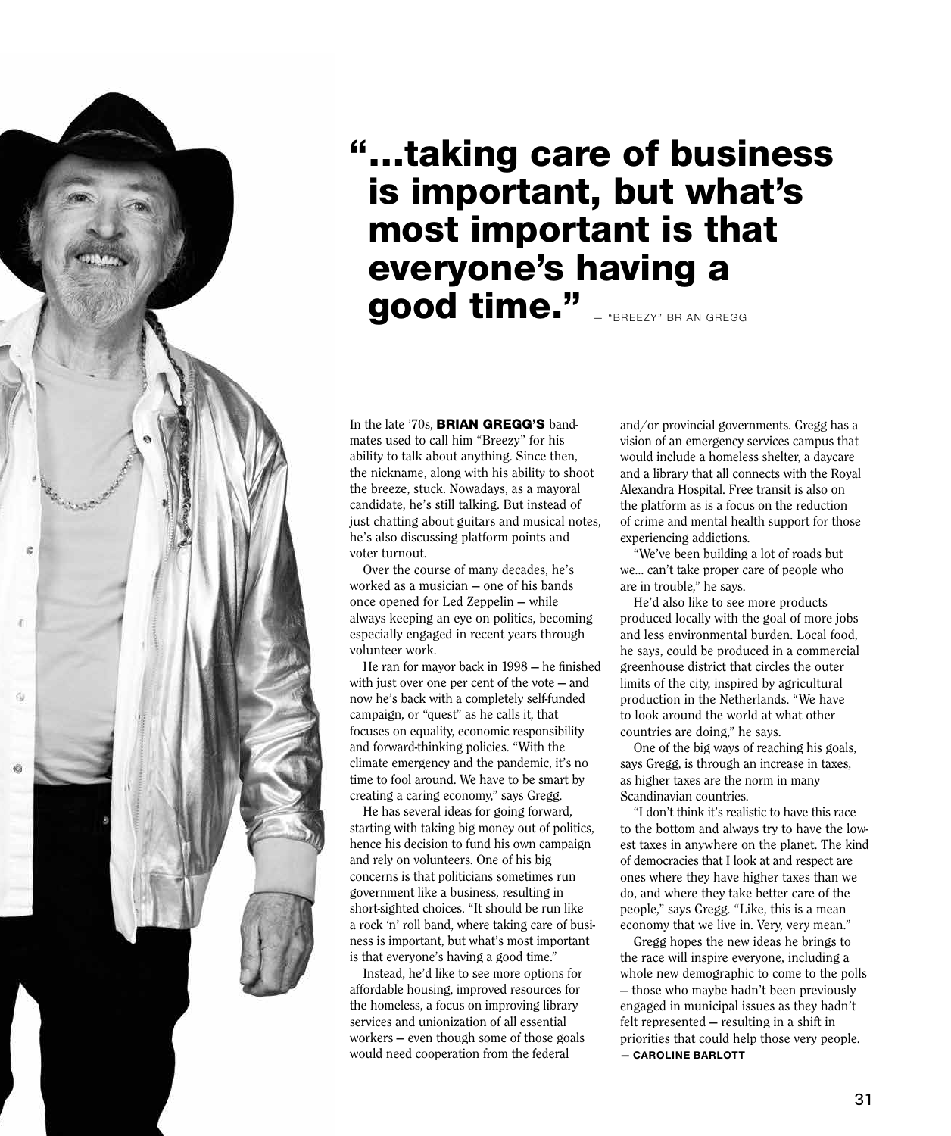

In the late '70s, **BRIAN GREGG'S** bandmates used to call him "Breezy" for his ability to talk about anything. Since then, the nickname, along with his ability to shoot the breeze, stuck. Nowadays, as a mayoral candidate, he's still talking. But instead of just chatting about guitars and musical notes, he's also discussing platform points and voter turnout.

Over the course of many decades, he's worked as a musician — one of his bands once opened for Led Zeppelin — while always keeping an eye on politics, becoming especially engaged in recent years through volunteer work.

He ran for mayor back in 1998 — he finished with just over one per cent of the vote — and now he's back with a completely self-funded campaign, or "quest" as he calls it, that focuses on equality, economic responsibility and forward-thinking policies. "With the climate emergency and the pandemic, it's no time to fool around. We have to be smart by creating a caring economy," says Gregg.

He has several ideas for going forward, starting with taking big money out of politics, hence his decision to fund his own campaign and rely on volunteers. One of his big concerns is that politicians sometimes run government like a business, resulting in short-sighted choices. "It should be run like a rock 'n' roll band, where taking care of business is important, but what's most important is that everyone's having a good time."

Instead, he'd like to see more options for affordable housing, improved resources for the homeless, a focus on improving library services and unionization of all essential workers — even though some of those goals would need cooperation from the federal

and/or provincial governments. Gregg has a vision of an emergency services campus that would include a homeless shelter, a daycare and a library that all connects with the Royal Alexandra Hospital. Free transit is also on the platform as is a focus on the reduction of crime and mental health support for those experiencing addictions.

"We've been building a lot of roads but we… can't take proper care of people who are in trouble," he says.

He'd also like to see more products produced locally with the goal of more jobs and less environmental burden. Local food, he says, could be produced in a commercial greenhouse district that circles the outer limits of the city, inspired by agricultural production in the Netherlands. "We have to look around the world at what other countries are doing," he says.

One of the big ways of reaching his goals, says Gregg, is through an increase in taxes, as higher taxes are the norm in many Scandinavian countries.

"I don't think it's realistic to have this race to the bottom and always try to have the lowest taxes in anywhere on the planet. The kind of democracies that I look at and respect are ones where they have higher taxes than we do, and where they take better care of the people," says Gregg. "Like, this is a mean economy that we live in. Very, very mean."

Gregg hopes the new ideas he brings to the race will inspire everyone, including a whole new demographic to come to the polls — those who maybe hadn't been previously engaged in municipal issues as they hadn't felt represented — resulting in a shift in priorities that could help those very people. **— CAROLINE BARLOTT**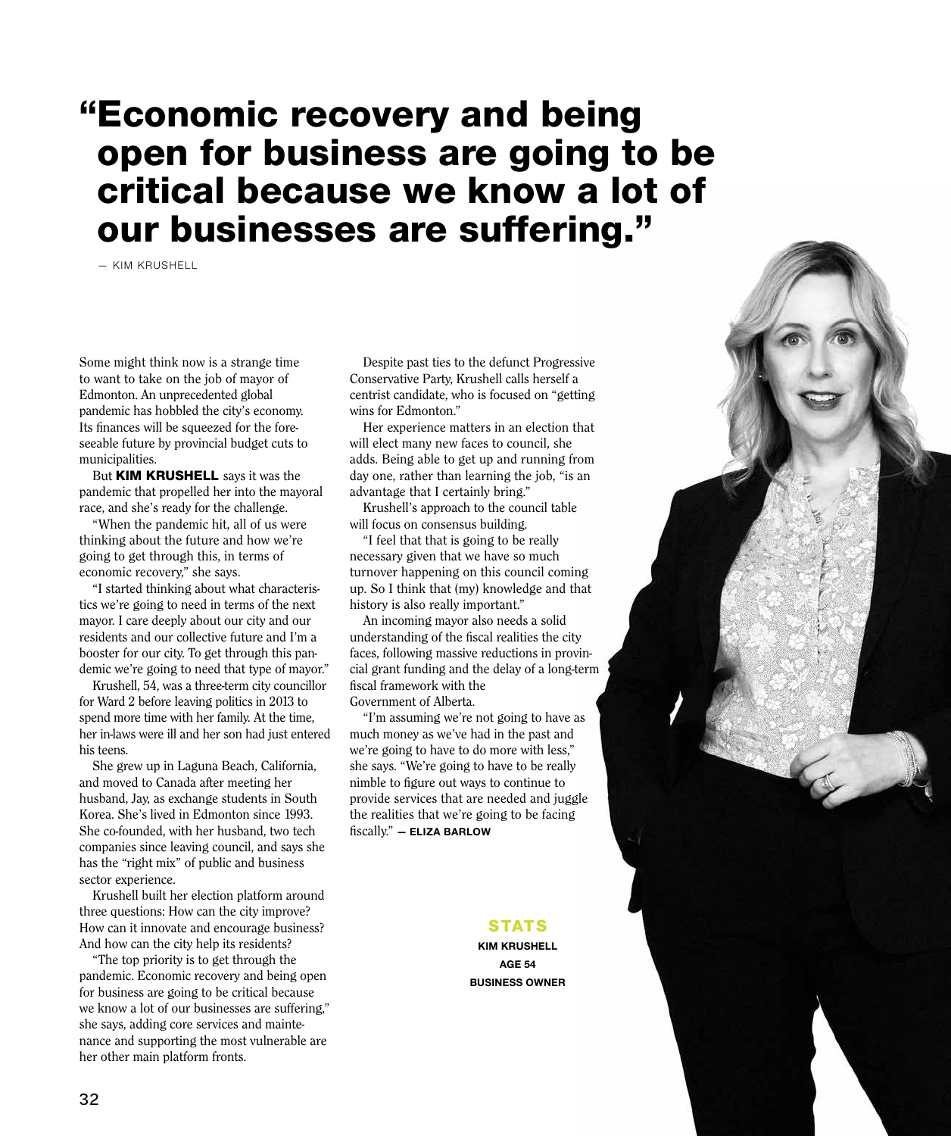### "Economic recovery and being open for business are going to be critical because we know a lot of our businesses are suffering."

— KIM KRUSHELL

Some might think now is a strange time to want to take on the job of mayor of Edmonton. An unprecedented global pandemic has hobbled the city's economy. Its finances will be squeezed for the foreseeable future by provincial budget cuts to municipalities.

But KIM KRUSHELL says it was the pandemic that propelled her into the mayoral race, and she's ready for the challenge.

"When the pandemic hit, all of us were thinking about the future and how we're going to get through this, in terms of economic recovery," she says.

"I started thinking about what characteristics we're going to need in terms of the next mayor. I care deeply about our city and our residents and our collective future and I'm a booster for our city. To get through this pandemic we're going to need that type of mayor."

Krushell, 54, was a three-term city councillor for Ward 2 before leaving politics in 2013 to spend more time with her family. At the time, her in-laws were ill and her son had just entered his teens.

She grew up in Laguna Beach, California, and moved to Canada after meeting her husband, Jay, as exchange students in South Korea. She's lived in Edmonton since 1993. She co-founded, with her husband, two tech companies since leaving council, and says she has the "right mix" of public and business sector experience.

Krushell built her election platform around three questions: How can the city improve? How can it innovate and encourage business? And how can the city help its residents?

"The top priority is to get through the pandemic. Economic recovery and being open for business are going to be critical because we know a lot of our businesses are suffering," she says, adding core services and maintenance and supporting the most vulnerable are her other main platform fronts.

Despite past ties to the defunct Progressive Conservative Party, Krushell calls herself a centrist candidate, who is focused on "getting wins for Edmonton."

Her experience matters in an election that will elect many new faces to council, she adds. Being able to get up and running from day one, rather than learning the job, "is an advantage that I certainly bring."

Krushell's approach to the council table will focus on consensus building.

"I feel that that is going to be really necessary given that we have so much turnover happening on this council coming up. So I think that (my) knowledge and that history is also really important."

An incoming mayor also needs a solid understanding of the fiscal realities the city faces, following massive reductions in provincial grant funding and the delay of a long-term fiscal framework with the Government of Alberta.

"I'm assuming we're not going to have as much money as we've had in the past and we're going to have to do more with less," she says. "We're going to have to be really nimble to figure out ways to continue to provide services that are needed and juggle the realities that we're going to be facing fiscally." **— ELIZA BARLOW**

#### **STATS**

**KIM KRUSHELL AGE 54 BUSINESS OWNER**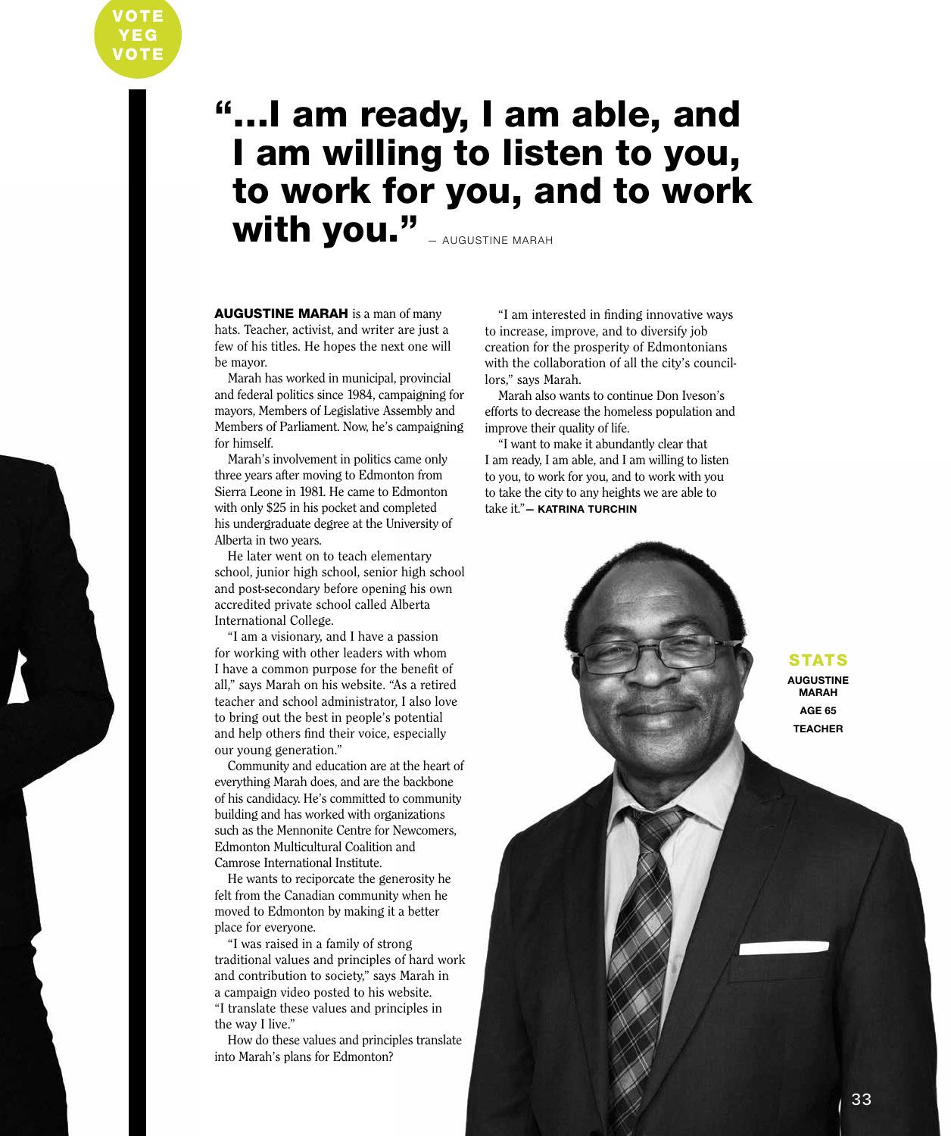## "…I am ready, I am able, and I am willing to listen to you, to work for you, and to work With you." **AUGUSTINE MARAH**

AUGUSTINE MARAH is a man of many hats. Teacher, activist, and writer are just a few of his titles. He hopes the next one will be mayor.

Marah has worked in municipal, provincial and federal politics since 1984, campaigning for mayors, Members of Legislative Assembly and Members of Parliament. Now, he's campaigning for himself.

Marah's involvement in politics came only three years after moving to Edmonton from Sierra Leone in 1981. He came to Edmonton with only \$25 in his pocket and completed his undergraduate degree at the University of Alberta in two years.

He later went on to teach elementary school, junior high school, senior high school and post-secondary before opening his own accredited private school called Alberta International College.

"I am a visionary, and I have a passion for working with other leaders with whom I have a common purpose for the benefit of all," says Marah on his website. "As a retired teacher and school administrator, I also love to bring out the best in people's potential and help others find their voice, especially our young generation."

Community and education are at the heart of everything Marah does, and are the backbone of his candidacy. He's committed to community building and has worked with organizations such as the Mennonite Centre for Newcomers, Edmonton Multicultural Coalition and Camrose International Institute.

He wants to reciporcate the generosity he felt from the Canadian community when he moved to Edmonton by making it a better place for everyone.

"I was raised in a family of strong traditional values and principles of hard work and contribution to society," says Marah in a campaign video posted to his website. "I translate these values and principles in the way I live."

How do these values and principles translate into Marah's plans for Edmonton?

"I am interested in finding innovative ways to increase, improve, and to diversify job creation for the prosperity of Edmontonians with the collaboration of all the city's councillors," says Marah.

Marah also wants to continue Don Iveson's efforts to decrease the homeless population and improve their quality of life.

"I want to make it abundantly clear that I am ready, I am able, and I am willing to listen to you, to work for you, and to work with you to take the city to any heights we are able to take it."**— KATRINA TURCHIN**

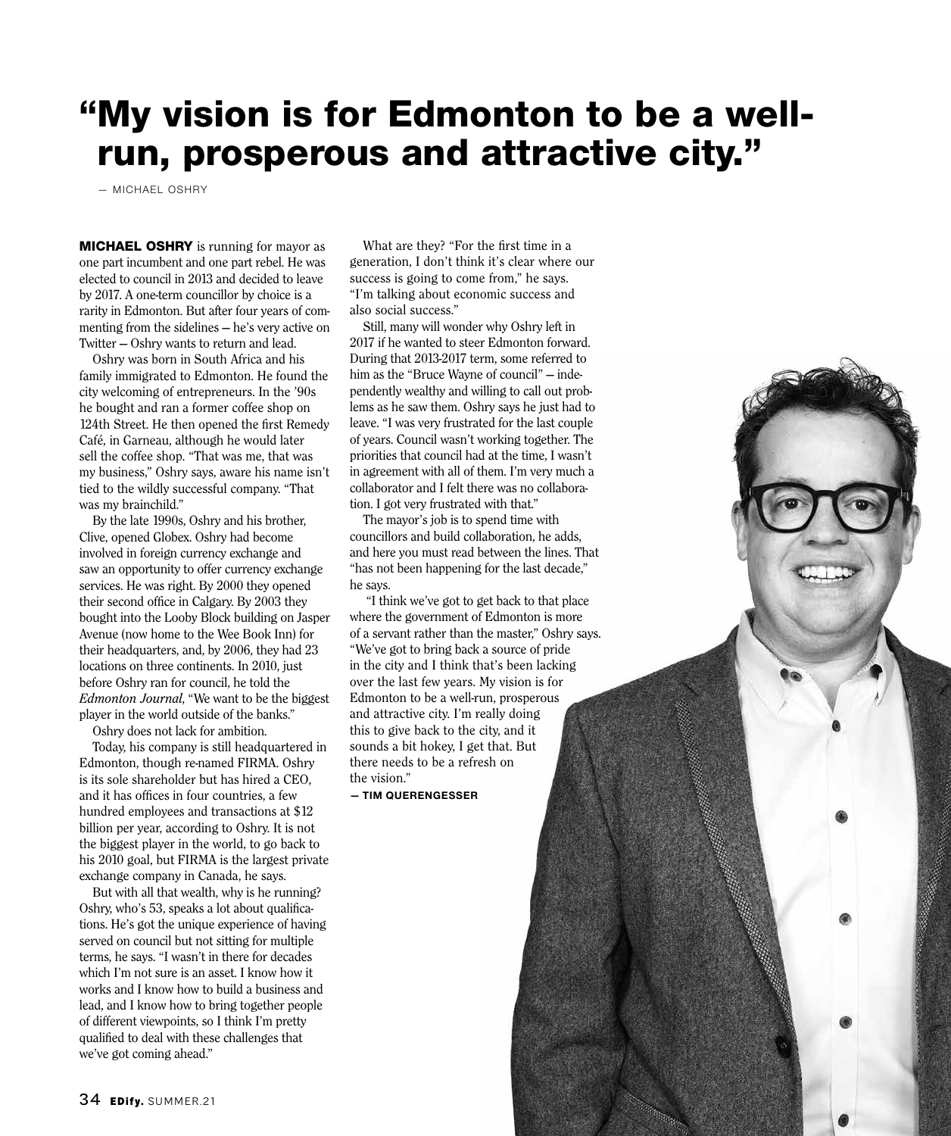### "My vision is for Edmonton to be a wellrun, prosperous and attractive city."

— MICHAEL OSHRY

**MICHAEL OSHRY** is running for mayor as one part incumbent and one part rebel. He was elected to council in 2013 and decided to leave by 2017. A one-term councillor by choice is a rarity in Edmonton. But after four years of commenting from the sidelines — he's very active on Twitter — Oshry wants to return and lead.

Oshry was born in South Africa and his family immigrated to Edmonton. He found the city welcoming of entrepreneurs. In the '90s he bought and ran a former coffee shop on 124th Street. He then opened the first Remedy Café, in Garneau, although he would later sell the coffee shop. "That was me, that was my business," Oshry says, aware his name isn't tied to the wildly successful company. "That was my brainchild."

By the late 1990s, Oshry and his brother, Clive, opened Globex. Oshry had become involved in foreign currency exchange and saw an opportunity to offer currency exchange services. He was right. By 2000 they opened their second office in Calgary. By 2003 they bought into the Looby Block building on Jasper Avenue (now home to the Wee Book Inn) for their headquarters, and, by 2006, they had 23 locations on three continents. In 2010, just before Oshry ran for council, he told the *Edmonton Journal*, "We want to be the biggest player in the world outside of the banks."

Oshry does not lack for ambition. Today, his company is still headquartered in Edmonton, though re-named FIRMA. Oshry is its sole shareholder but has hired a CEO, and it has offices in four countries, a few hundred employees and transactions at \$12 billion per year, according to Oshry. It is not the biggest player in the world, to go back to his 2010 goal, but FIRMA is the largest private exchange company in Canada, he says.

But with all that wealth, why is he running? Oshry, who's 53, speaks a lot about qualifications. He's got the unique experience of having served on council but not sitting for multiple terms, he says. "I wasn't in there for decades which I'm not sure is an asset. I know how it works and I know how to build a business and lead, and I know how to bring together people of different viewpoints, so I think I'm pretty qualified to deal with these challenges that we've got coming ahead."

What are they? "For the first time in a generation, I don't think it's clear where our success is going to come from," he says. "I'm talking about economic success and also social success."

Still, many will wonder why Oshry left in 2017 if he wanted to steer Edmonton forward. During that 2013-2017 term, some referred to him as the "Bruce Wayne of council" — independently wealthy and willing to call out problems as he saw them. Oshry says he just had to leave. "I was very frustrated for the last couple of years. Council wasn't working together. The priorities that council had at the time, I wasn't in agreement with all of them. I'm very much a collaborator and I felt there was no collaboration. I got very frustrated with that."

The mayor's job is to spend time with councillors and build collaboration, he adds, and here you must read between the lines. That "has not been happening for the last decade," he says.

 "I think we've got to get back to that place where the government of Edmonton is more of a servant rather than the master," Oshry says. "We've got to bring back a source of pride in the city and I think that's been lacking over the last few years. My vision is for Edmonton to be a well-run, prosperous and attractive city. I'm really doing this to give back to the city, and it sounds a bit hokey, I get that. But there needs to be a refresh on the vision."

**— TIM QUERENGESSER**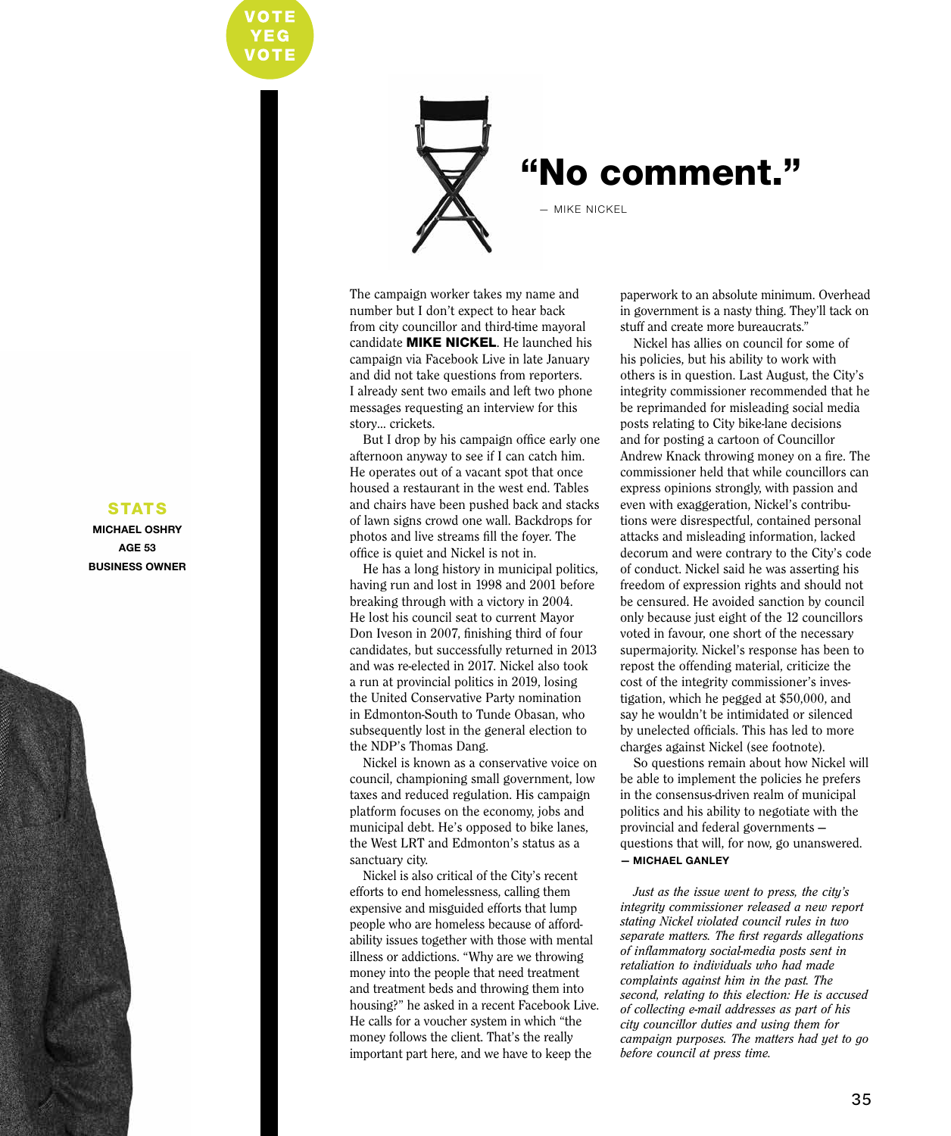

### "No comment."

— MIKE NICKEL

The campaign worker takes my name and number but I don't expect to hear back from city councillor and third-time mayoral candidate MIKE NICKEL. He launched his campaign via Facebook Live in late January and did not take questions from reporters. I already sent two emails and left two phone messages requesting an interview for this story… crickets.

But I drop by his campaign office early one afternoon anyway to see if I can catch him. He operates out of a vacant spot that once housed a restaurant in the west end. Tables and chairs have been pushed back and stacks of lawn signs crowd one wall. Backdrops for photos and live streams fill the foyer. The office is quiet and Nickel is not in.

He has a long history in municipal politics, having run and lost in 1998 and 2001 before breaking through with a victory in 2004. He lost his council seat to current Mayor Don Iveson in 2007, finishing third of four candidates, but successfully returned in 2013 and was re-elected in 2017. Nickel also took a run at provincial politics in 2019, losing the United Conservative Party nomination in Edmonton-South to Tunde Obasan, who subsequently lost in the general election to the NDP's Thomas Dang.

Nickel is known as a conservative voice on council, championing small government, low taxes and reduced regulation. His campaign platform focuses on the economy, jobs and municipal debt. He's opposed to bike lanes, the West LRT and Edmonton's status as a sanctuary city.

Nickel is also critical of the City's recent efforts to end homelessness, calling them expensive and misguided efforts that lump people who are homeless because of affordability issues together with those with mental illness or addictions. "Why are we throwing money into the people that need treatment and treatment beds and throwing them into housing?" he asked in a recent Facebook Live. He calls for a voucher system in which "the money follows the client. That's the really important part here, and we have to keep the

paperwork to an absolute minimum. Overhead in government is a nasty thing. They'll tack on stuff and create more bureaucrats."

Nickel has allies on council for some of his policies, but his ability to work with others is in question. Last August, the City's integrity commissioner recommended that he be reprimanded for misleading social media posts relating to City bike-lane decisions and for posting a cartoon of Councillor Andrew Knack throwing money on a fire. The commissioner held that while councillors can express opinions strongly, with passion and even with exaggeration, Nickel's contributions were disrespectful, contained personal attacks and misleading information, lacked decorum and were contrary to the City's code of conduct. Nickel said he was asserting his freedom of expression rights and should not be censured. He avoided sanction by council only because just eight of the 12 councillors voted in favour, one short of the necessary supermajority. Nickel's response has been to repost the offending material, criticize the cost of the integrity commissioner's investigation, which he pegged at \$50,000, and say he wouldn't be intimidated or silenced by unelected officials. This has led to more charges against Nickel (see footnote).

So questions remain about how Nickel will be able to implement the policies he prefers in the consensus-driven realm of municipal politics and his ability to negotiate with the provincial and federal governments questions that will, for now, go unanswered. **— MICHAEL GANLEY**

*Just as the issue went to press, the city's integrity commissioner released a new report stating Nickel violated council rules in two separate matters. The first regards allegations of inflammatory social-media posts sent in retaliation to individuals who had made complaints against him in the past. The second, relating to this election: He is accused of collecting e-mail addresses as part of his city councillor duties and using them for campaign purposes. The matters had yet to go before council at press time.*

#### **STATS**

**MICHAEL OSHRY AGE 53 BUSINESS OWNER**

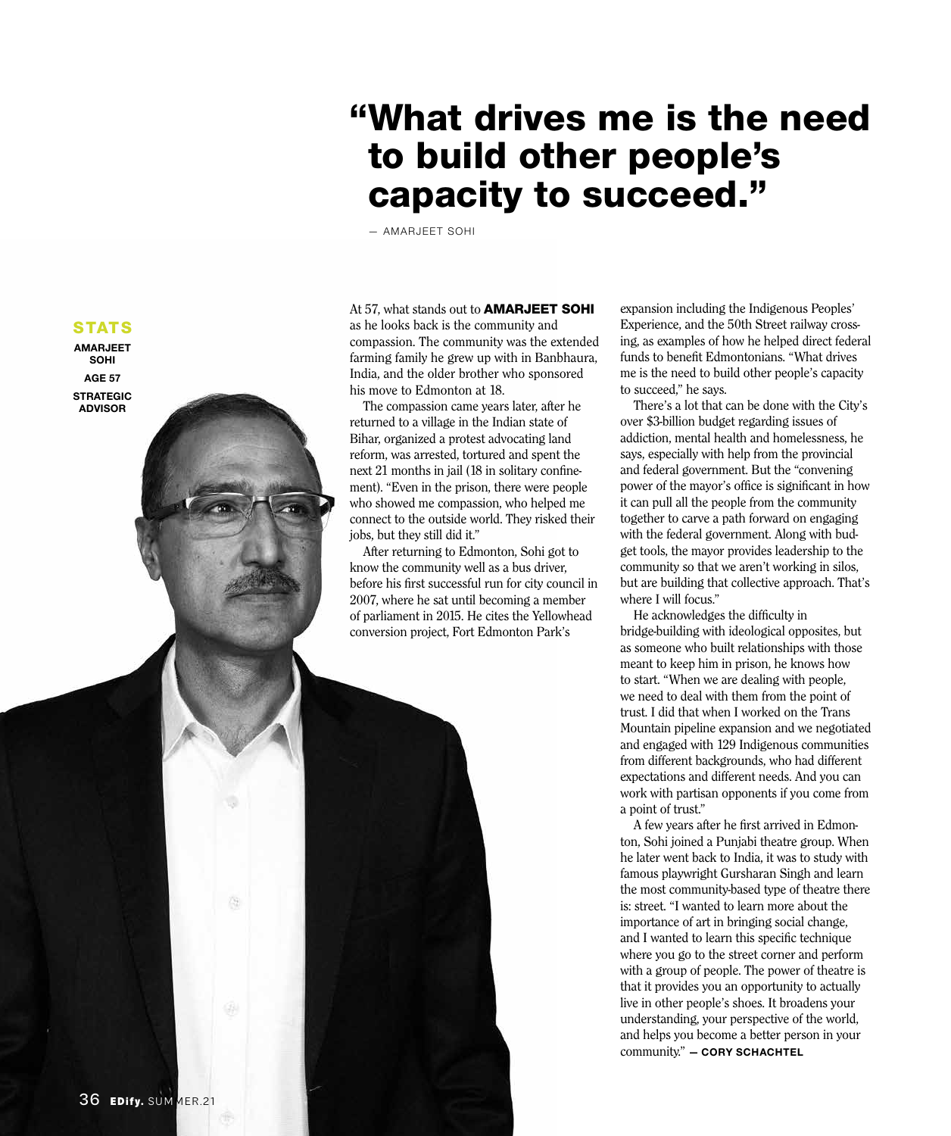### "What drives me is the need to build other people's capacity to succeed."

— AMARJEET SOHI

At 57, what stands out to **AMARJEET SOHI** as he looks back is the community and compassion. The community was the extended farming family he grew up with in Banbhaura, India, and the older brother who sponsored his move to Edmonton at 18.

The compassion came years later, after he returned to a village in the Indian state of Bihar, organized a protest advocating land reform, was arrested, tortured and spent the next 21 months in jail (18 in solitary confinement). "Even in the prison, there were people who showed me compassion, who helped me connect to the outside world. They risked their jobs, but they still did it."

After returning to Edmonton, Sohi got to know the community well as a bus driver, before his first successful run for city council in 2007, where he sat until becoming a member of parliament in 2015. He cites the Yellowhead conversion project, Fort Edmonton Park's

expansion including the Indigenous Peoples' Experience, and the 50th Street railway crossing, as examples of how he helped direct federal funds to benefit Edmontonians. "What drives me is the need to build other people's capacity to succeed," he says.

There's a lot that can be done with the City's over \$3-billion budget regarding issues of addiction, mental health and homelessness, he says, especially with help from the provincial and federal government. But the "convening power of the mayor's office is significant in how it can pull all the people from the community together to carve a path forward on engaging with the federal government. Along with budget tools, the mayor provides leadership to the community so that we aren't working in silos, but are building that collective approach. That's where I will focus."

He acknowledges the difficulty in bridge-building with ideological opposites, but as someone who built relationships with those meant to keep him in prison, he knows how to start. "When we are dealing with people, we need to deal with them from the point of trust. I did that when I worked on the Trans Mountain pipeline expansion and we negotiated and engaged with 129 Indigenous communities from different backgrounds, who had different expectations and different needs. And you can work with partisan opponents if you come from a point of trust."

A few years after he first arrived in Edmonton, Sohi joined a Punjabi theatre group. When he later went back to India, it was to study with famous playwright Gursharan Singh and learn the most community-based type of theatre there is: street. "I wanted to learn more about the importance of art in bringing social change, and I wanted to learn this specific technique where you go to the street corner and perform with a group of people. The power of theatre is that it provides you an opportunity to actually live in other people's shoes. It broadens your understanding, your perspective of the world, and helps you become a better person in your community." **— CORY SCHACHTEL**

#### **STATS**

**AMARJEET SOHI AGE 57**

**STRATEGIC ADVISOR**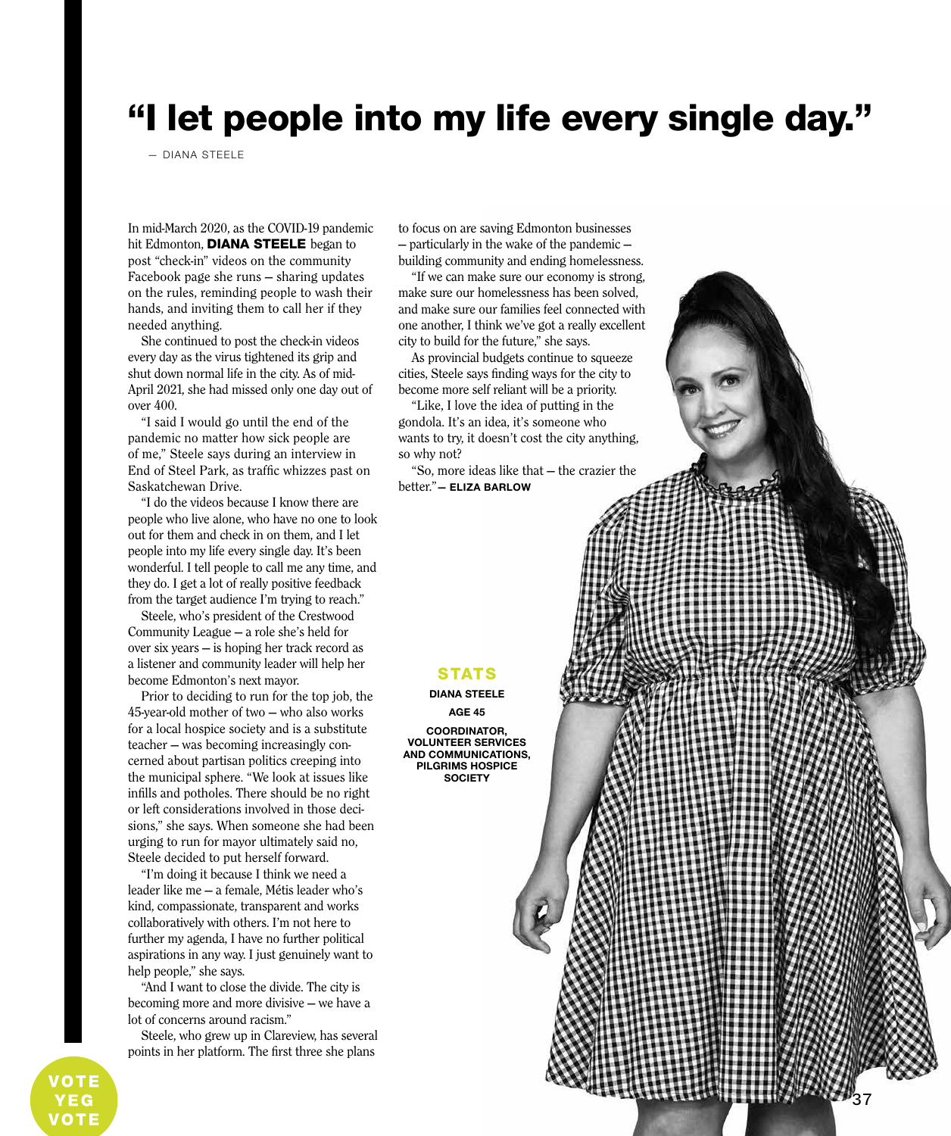### "I let people into my life every single day."

— DIANA STEELE

In mid-March 2020, as the COVID-19 pandemic hit Edmonton, DIANA STEELE began to post "check-in" videos on the community Facebook page she runs — sharing updates on the rules, reminding people to wash their hands, and inviting them to call her if they needed anything.

She continued to post the check-in videos every day as the virus tightened its grip and shut down normal life in the city. As of mid-April 2021, she had missed only one day out of over 400.

"I said I would go until the end of the pandemic no matter how sick people are of me," Steele says during an interview in End of Steel Park, as traffic whizzes past on Saskatchewan Drive.

"I do the videos because I know there are people who live alone, who have no one to look out for them and check in on them, and I let people into my life every single day. It's been wonderful. I tell people to call me any time, and they do. I get a lot of really positive feedback from the target audience I'm trying to reach."

Steele, who's president of the Crestwood Community League — a role she's held for over six years — is hoping her track record as a listener and community leader will help her become Edmonton's next mayor.

Prior to deciding to run for the top job, the 45-year-old mother of two — who also works for a local hospice society and is a substitute teacher — was becoming increasingly concerned about partisan politics creeping into the municipal sphere. "We look at issues like infills and potholes. There should be no right or left considerations involved in those decisions," she says. When someone she had been urging to run for mayor ultimately said no, Steele decided to put herself forward.

"I'm doing it because I think we need a leader like me — a female, Métis leader who's kind, compassionate, transparent and works collaboratively with others. I'm not here to further my agenda, I have no further political aspirations in any way. I just genuinely want to help people," she says.

"And I want to close the divide. The city is becoming more and more divisive — we have a lot of concerns around racism."

Steele, who grew up in Clareview, has several points in her platform. The first three she plans

to focus on are saving Edmonton businesses — particularly in the wake of the pandemic building community and ending homelessness.

"If we can make sure our economy is strong, make sure our homelessness has been solved, and make sure our families feel connected with one another, I think we've got a really excellent city to build for the future," she says.

As provincial budgets continue to squeeze cities, Steele says finding ways for the city to become more self reliant will be a priority.

"Like, I love the idea of putting in the gondola. It's an idea, it's someone who wants to try, it doesn't cost the city anything, so why not?

"So, more ideas like that — the crazier the better."**— ELIZA BARLOW**

#### **STATS**

#### **DIANA STEELE**

**AGE 45 COORDINATOR, VOLUNTEER SERVICES AND COMMUNICATIONS, PILGRIMS HOSPICE SOCIETY**

37

VOTE VOTE